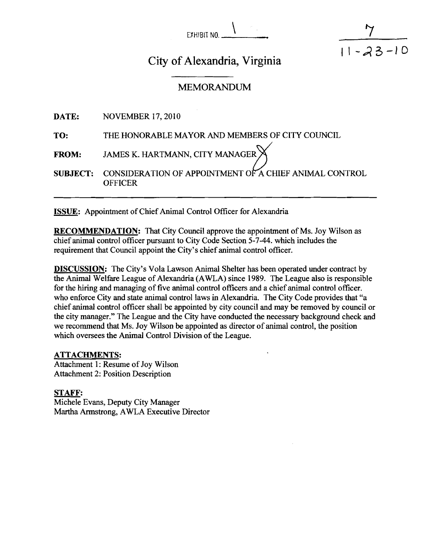EXHIBIT **NO.** \



# City of Alexandria, Virginia

# MEMORANDUM

|              | DATE: NOVEMBER 17, 2010                                                                                               |
|--------------|-----------------------------------------------------------------------------------------------------------------------|
| TO:          | THE HONORABLE MAYOR AND MEMBERS OF CITY COUNCIL                                                                       |
| <b>FROM:</b> | JAMES K. HARTMANN, CITY MANAGER $\mathbb X$<br><b>SUBJECT:</b> CONSIDERATION OF APPOINTMENT OF A CHIEF ANIMAL CONTROL |
|              | <b>OFFICER</b>                                                                                                        |

**ISSUE:** Appointment of Chief Animal Control Officer for Alexandria

**RECOMMENDATION:** That City Council approve the appointment of Ms. Joy Wilson as chief animal control officer pursuant to City Code Section 5-7-44. which includes the requirement that Council appoint the City's chief animal control officer.

**DISCUSSION:** The City's Vola Lawson Animal Shelter has been operated under contract by the Animal Welfare League of Alexandria (AWLA) since 1989. The League also is responsible for the hiring and managing of five animal control officers and a chief animal control officer. who enforce City and state animal control laws in Alexandria. The City Code provides that "a chief animal control officer shall be appointed by city council and may be removed by council or the city manager." The League and the City have conducted the necessary background check and we recommend that Ms. Joy Wilson be appointed as director of animal control, the position which oversees the Animal Control Division of the League.

#### **ATTACHMENTS:**

Attachment 1: Resume of Joy Wilson Attachment 2: Position Description

# **STAFF:**

Michele Evans, Deputy City Manager Martha Armstrong, AWLA Executive Director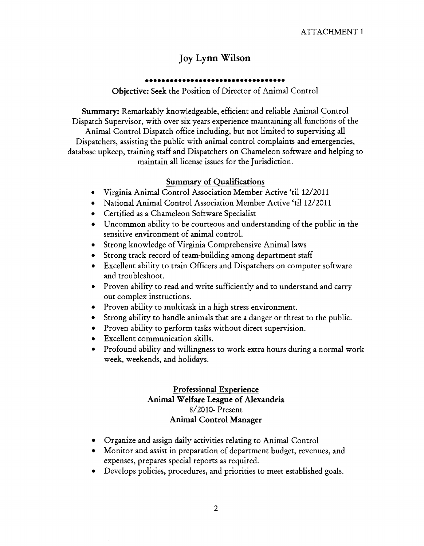# **Joy Lynn Wilson**

# ..................................

**Objective:** Seek the Position of Director of Animal Control

**Summary:** Remarkably knowledgeable, efficient and reliable Animal Control Dispatch Supervisor, with over six years experience maintaining all functions of the Animal Control Dispatch office including, but not limited to supervising all Dispatchers, assisting the public with animal control complaints and emergencies, database upkeep, training staff and Dispatchers on Chameleon software and helping to maintain all license issues for the Jurisdiction.

# **Summary of Qualifications**

- Virginia Animal Control Association Member Active 'ti1 12/2011
- National Animal Control Association Member Active 'ti1 12/2011
- Certified as a Chameleon Software Specialist
- Uncommon ability to be courteous and understanding of the public in the sensitive environment of animal control.
- Strong knowledge of Virginia Comprehensive Animal laws
- Strong track record of team-building among department staff
- Excellent ability to train Officers and Dispatchers on computer software and troubleshoot.
- Proven ability to read and write sufficiently and to understand and carry out complex instructions.
- Proven ability to multitask in a high stress environment.
- Strong ability to handle animals that are a danger or threat to the public.
- Proven ability to perform tasks without direct supervision.
- Excellent communication skills.
- Profound ability and willingness to work extra hours during a normal work week, weekends, and holidays.

# **Professional Experience Animal Welfare League of Alexandria**  8/2010- Present **Animal Control Manager**

- Organize and assign daily activities relating to Animal Control
- Monitor and assist in preparation of department budget, revenues, and expenses, prepares special reports as required.
- Develops policies, procedures, and priorities to meet established goals.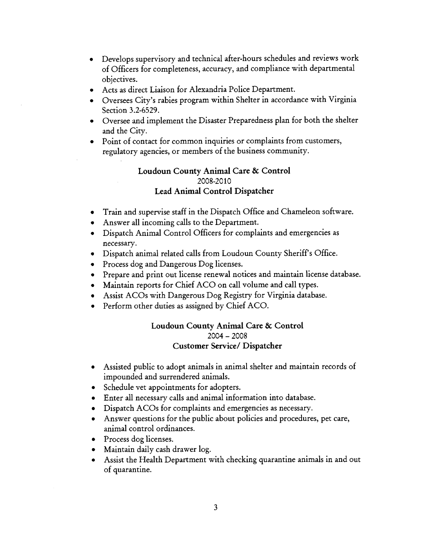- Develops supervisory and technical after-hours schedules and reviews work  $\bullet$ of Officers for completeness, accuracy, and compliance with departmental objectives.
- Acts as direct Liaison for Alexandria Police Department.
- Oversees City's rabies program within Shelter in accordance with Virginia Section 3.2-6529.
- Oversee and implement the Disaster Preparedness plan for both the shelter and the City.
- Point of contact for common inquiries or complaints from customers, regulatory agencies, or members of the business community.

## **Loudoun County Animal Care** & **Control**  2008-2010 **Lead Animal Control Dispatcher**

- Train and supervise staff in the Dispatch Office and Chameleon software.
- Answer all incoming calls to the Department.
- Dispatch Animal Control Officers for complaints and emergencies as necessary.
- Dispatch animal related calls from Loudoun County Sheriff's Office.
- Process dog and Dangerous Dog licenses.
- Prepare and print out license renewal notices and maintain license database.
- Maintain reports for Chief ACO on call volume and call types.
- Assist ACOs with Dangerous Dog Registry for Virginia database.
- Perform other duties as assigned by Chief ACO.

#### **Loudoun County Animal Care** & **Control**   $2004 - 2008$ **Customer Service/ Dispatcher**

- Assisted public to adopt animals in animal shelter and maintain records of impounded and surrendered animals.
- Schedule vet appointments for adopters.
- Enter all necessary calls and animal information into database.
- Dispatch ACOs for complaints and emergencies as necessary.
- Answer questions for the public about policies and procedures, pet care, animal control ordinances.
- Process dog licenses.
- Maintain daily cash drawer log.
- Assist the Health Department with checking quarantine animals in and out of quarantine.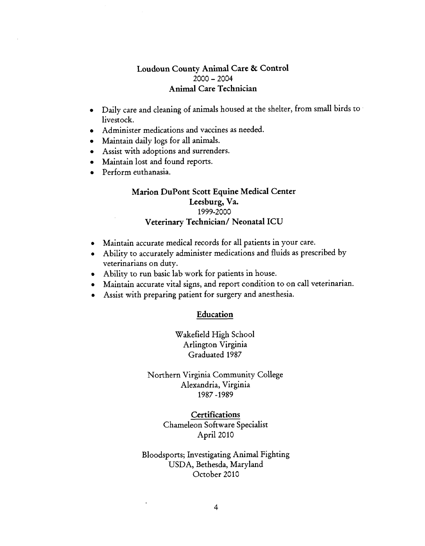# **Loudoun County Animal Care** & **Control**  <sup>2000</sup>- <sup>2004</sup> **Animal Care Technician**

- Daily care and cleaning of animals housed at the shelter, from small birds to livestock.
- Administer medications and vaccines as needed.
- Maintain daily logs for all animals.  $\bullet$
- Assist with adoptions and surrenders.
- Maintain lost and found reports.
- Perform euthanasia.

# **Marion DuPont Scott Equine Medical Center Leesburg, Va.**  1999-2000 **Veterinary Technician/ Neonatal ICU**

- Maintain accurate medical records for all patients in your care.
- Ability to accurately administer medications and fluids as prescribed by veterinarians on duty.
- Ability to run basic lab work for patients in house.
- Maintain accurate vital signs, and report condition to on call veterinarian.
- Assist with preparing patient for surgery and anesthesia.

#### **Education**

Wakefield High School Arlington Virginia Graduated 1987

Northern Virginia Community College Alexandria, Virginia 1987 -1989

> **Certifications**  Chameleon Software Specialist April 2010

Bloodsports; Investigating Animal Fighting USDA, Bethesda, Maryland October 2010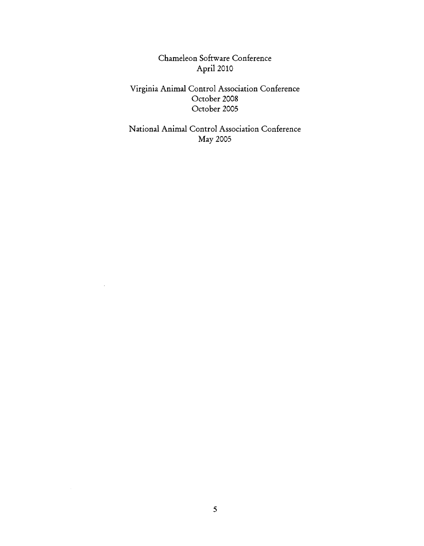Chameleon Software Conference April 2010

Virginia Animal Control Association Conference October 2008 October 2005

National Animal Control Association Conference May 2005

 $\mathbb{R}^2$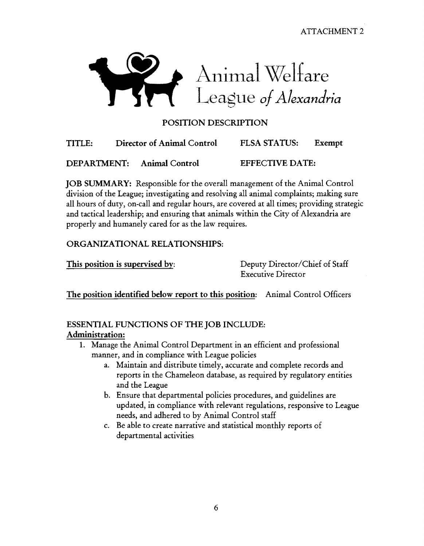**ATTACHMENT 2** 



# POSITION DESCRIPTION

| TITLE: | Director of Animal Control | <b>FLSA STATUS:</b> | Exempt |
|--------|----------------------------|---------------------|--------|
|        |                            |                     |        |

DEPARTMENT: Animal Control EFFECTIVE DATE:

JOB SUMMARY: Responsible for the overall management of the Animal Control division of the League; investigating and resolving all animal complaints; making sure all hours of duty, on-call and regular hours, are covered at all times; providing strategic and tactical leadership; and ensuring that animals within the City of Alexandria are properly and humanely cared for as the law requires.

# ORGANIZATIONAL RELATIONSHIPS:

This position is supervised by: Deputy Director/Chief of Staff

Executive Director

The position identified below report to this position: Animal Control Officers

# ESSENTIAL FUNCTIONS OF THE JOB INCLUDE: Administration:

- 1. Manage the Animal Control Department in an efficient and professional manner, and in compliance with League policies
	- a. Maintain and distribute timely, accurate and complete records and reports in the Chameleon database, as required by regulatory entities and the League
	- b. Ensure that departmental policies procedures, and guidelines are updated, in compliance with relevant regulations, responsive to League needs, and adhered to by Animal Control staff
	- c. Be able to create narrative and statistical monthly reports of departmental activities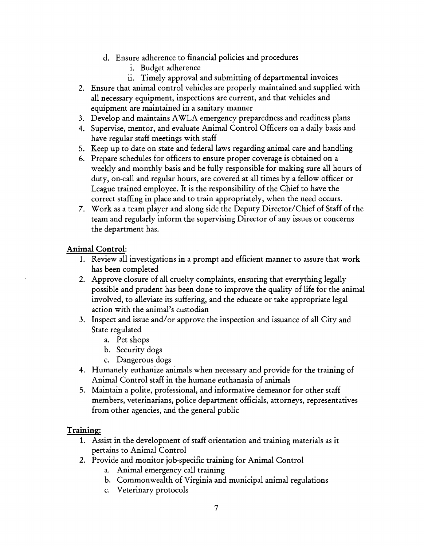- d. Ensure adherence to financial policies and procedures
	- i. Budget adherence
	- **11.** Timely approval and submitting of departmental invoices
- 2. Ensure that animal control vehicles are properly maintained and supplied with all necessary equipment, inspections are current, and that vehicles and equipment are maintained in a sanitary manner
- **3.** Develop and maintains AWLA emergency preparedness and readiness plans
- 4. Supervise, mentor, and evaluate Animal Control Officers on a daily basis and have regular staff meetings with staff
- 5. Keep up to date on state and federal laws regarding animal care and handling
- *6.* Prepare schedules for officers to ensure proper coverage is obtained on a weekly and monthly basis and be fully responsible for making sure all hours of duty, on-call and regular hours, are covered at all times by a fellow officer or League trained employee. It is the responsibility of the Chief to have the correct staffing in place and to train appropriately, when the need occurs.
- 7. Work as a team player and along side the Deputy Director/Chief of Staff of the team and regularly inform the supervising Director of any issues or concerns the department has.

# **Animal Control:**

- 1. Review all investigations in a prompt and efficient manner to assure that work has been completed
- 2. Approve closure of all cruelty complaints, ensuring that everything legally possible and prudent has been done to improve the quality of life for the animal involved, to alleviate its suffering, and the educate or take appropriate legal action with the animal's custodian
- **3.** Inspect and issue and/or approve the inspection and issuance of all City and State regulated
	- a. Pet shops
	- b. Security dogs
	- c. Dangerous dogs
- 4. Humanely euthanize animals when necessary and provide for the training of Animal Control staff in the humane euthanasia of animals
- 5. Maintain a polite, professional, and informative demeanor for other staff members, veterinarians, police department officials, attorneys, representatives from other agencies, and the general public

# **Training:**

- **1.** Assist in the development of staff orientation and training materials as it pertains to Animal Control
- 2. Provide and monitor job-specific training for Animal Control
	- a. Animal emergency call training
	- b. Commonwealth of Virginia and municipal animal regulations
	- c. Veterinary protocols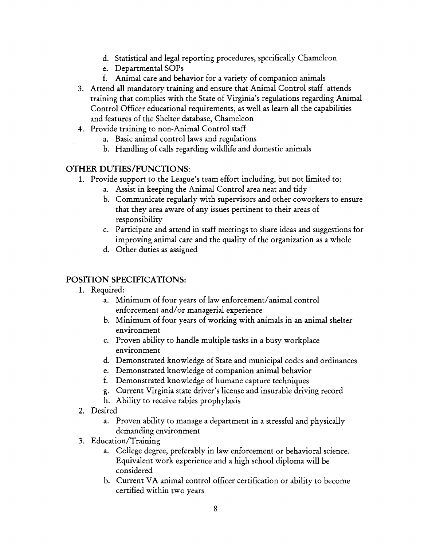- d. Statistical and legal reporting procedures, specifically Chameleon
- e. Departmental SOPS
- f. Animal care and behavior for a variety of companion animals
- **3.** Attend all mandatory training and ensure that Animal Control staff attends training that complies with the State of Virginia's regulations regarding Animal Control Officer educational requirements, as well as learn all the capabilities and features of the Shelter database, Chameleon
- 4. Provide training to non-Animal Control staff
	- a. Basic animal control laws and regulations
	- b. Handling of calls regarding wildlife and domestic animals

# OTHER DUTIES/FUNCTIONS:

- 1. Provide support to the League's team effort including, but not limited to:
	- a. Assist in keeping the Animal Control area neat and tidy
	- b. Communicate regularly with supervisors and other coworkers to ensure that they area aware of any issues pertinent to their areas of responsibility
	- c. Participate and attend in staff meetings to share ideas and suggestions for improving animal care and the quality of the organization as a whole
	- d. Other duties as assigned

# POSITION SPECIFICATIONS:

- 1. Required:
	- a. Minimum of four years of law enforcement/animal control enforcement and/or managerial experience
	- b. Minimum of four years of working with animals in an animal shelter environment
	- c. Proven ability to handle multiple tasks in a busy workplace environment
	- d. Demonstrated knowledge of State and municipal codes and ordinances
	- e. Demonstrated knowledge of companion animal behavior
	- f. Demonstrated knowledge of humane capture techniques
	- g. Current Virginia state driver's license and insurable driving record
	- h. Ability to receive rabies prophylaxis
- **2.** Desired
	- a. Proven ability to manage a department in a stressful and physically demanding environment
- **3.** Education/Training
	- a. College degree, preferably in law enforcement or behavioral science. Equivalent work experience and a high school diploma will be considered
	- b. Current VA animal control officer certification or ability to become certified within two years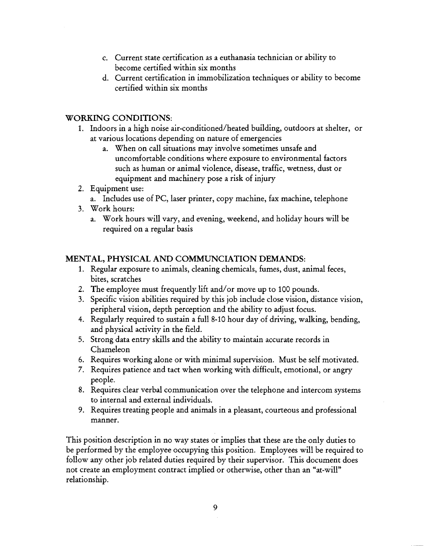- c. Current state certification as a euthanasia technician or ability to become certified within six months
- d. Current certification in immobilization techniques or ability to become certified within six months

# WORKING CONDITIONS:

- 1. Indoors in a high noise air-conditioned/heated building, outdoors at shelter, or at various locations depending on nature of emergencies
	- a. When on call situations may involve sometimes unsafe and uncomfortable conditions where exposure to environmental factors such as human or animal violence, disease, traffic, wetness, dust or equipment and machinery pose a risk of injury
- **2.** Equipment use:
	- a. Includes use of PC, laser printer, copy machine, fax machine, telephone
- 3. Work hours:
	- a. Work hours will vary, and evening, weekend, and holiday hours will be required on a regular basis

# MENTAL, PHYSICAL AND COMMUNCIATION DEMANDS:

- 1. Regular exposure to animals, cleaning chemicals, fumes, dust, animal feces, bites, scratches
- **2.** The employee must frequently lift and/or move up to 100 pounds.
- 3. Specific vision abilities required by this job include close vision, distance vision, peripheral vision, depth perception and the ability to adjust focus.
- 4. Regularly required to sustain a full 8-10 hour day of driving, walking, bending, and physical activity in the field.
- 5. Strong data entry skills and the ability to maintain accurate records in Chameleon
- *6.* Requires working alone or with minimal supervision. Must be self motivated.
- **7.** Requires patience and tact when working with difficult, emotional, or angry people.
- 8. Requires clear verbal communication over the telephone and intercom systems to internal and external individuals.
- 9. Requires treating people and animals in a pleasant, courteous and professional manner.

This position description in no way states or implies that these are the only duties to be performed by the employee occupying this position. Employees will be required to follow any other job related duties required by their supervisor. This document does not create an employment contract implied or otherwise, other than an "at-will" relationship.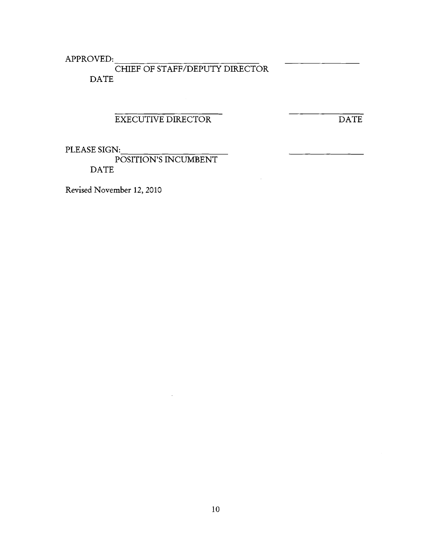APPROVED: CHIEF OF STAFF/DEPUTY DIRECTOR DATE

# EXECUTIVE DIRECTOR

DATE

PLEASE SIGN:

POSITION'S INCUMBENT DATE

Revised November 12,2010